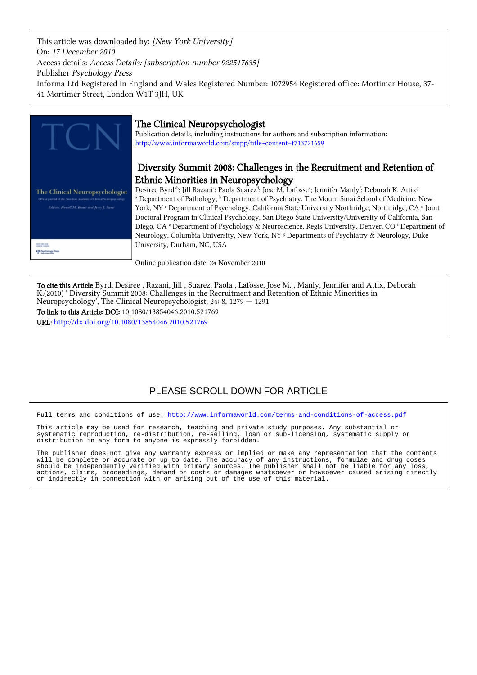This article was downloaded by: [New York University] On: 17 December 2010 Access details: Access Details: [subscription number 922517635] Publisher Psychology Press Informa Ltd Registered in England and Wales Registered Number: 1072954 Registered office: Mortimer House, 37- 41 Mortimer Street, London W1T 3JH, UK



# The Clinical Neuropsychologist

Publication details, including instructions for authors and subscription information: <http://www.informaworld.com/smpp/title~content=t713721659>

# Diversity Summit 2008: Challenges in the Recruitment and Retention of Ethnic Minorities in Neuropsychology

**P** Pychology Pre

Desiree Byrd<sup>ab</sup>; Jill Razani<sup>c</sup>; Paola Suarez<sup>d</sup>; Jose M. Lafosse<sup>e</sup>; Jennifer Manly<sup>f</sup>; Deborah K. Attix<sup>g</sup> <sup>a</sup> Department of Pathology, <sup>b</sup> Department of Psychiatry, The Mount Sinai School of Medicine, New York, NY <sup>c</sup> Department of Psychology, California State University Northridge, Northridge, CA <sup>d</sup> Joint Doctoral Program in Clinical Psychology, San Diego State University/University of California, San Diego, CA <sup>e</sup> Department of Psychology & Neuroscience, Regis University, Denver, CO <sup>f</sup> Department of Neurology, Columbia University, New York, NY <sup>g</sup> Departments of Psychiatry & Neurology, Duke University, Durham, NC, USA

Online publication date: 24 November 2010

To cite this Article Byrd, Desiree , Razani, Jill , Suarez, Paola , Lafosse, Jose M. , Manly, Jennifer and Attix, Deborah K.(2010) ' Diversity Summit 2008: Challenges in the Recruitment and Retention of Ethnic Minorities in Neuropsychology', The Clinical Neuropsychologist, 24: 8, 1279 — 1291

To link to this Article: DOI: 10.1080/13854046.2010.521769 URL: <http://dx.doi.org/10.1080/13854046.2010.521769>

# PLEASE SCROLL DOWN FOR ARTICLE

Full terms and conditions of use:<http://www.informaworld.com/terms-and-conditions-of-access.pdf>

This article may be used for research, teaching and private study purposes. Any substantial or systematic reproduction, re-distribution, re-selling, loan or sub-licensing, systematic supply or distribution in any form to anyone is expressly forbidden.

The publisher does not give any warranty express or implied or make any representation that the contents will be complete or accurate or up to date. The accuracy of any instructions, formulae and drug doses should be independently verified with primary sources. The publisher shall not be liable for any loss, actions, claims, proceedings, demand or costs or damages whatsoever or howsoever caused arising directly or indirectly in connection with or arising out of the use of this material.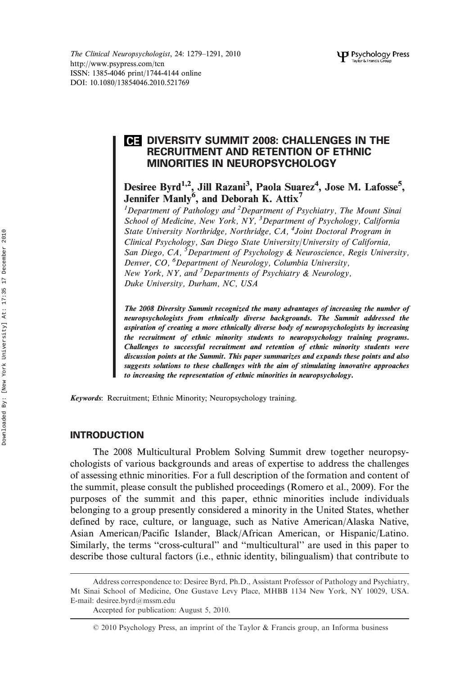The Clinical Neuropsychologist, 24: 1279–1291, 2010 http://www.psypress.com/tcn ISSN: 1385-4046 print/1744-4144 online DOI: 10.1080/13854046.2010.521769

## **GE DIVERSITY SUMMIT 2008: CHALLENGES IN THE** RECRUITMENT AND RETENTION OF ETHNIC MINORITIES IN NEUROPSYCHOLOGY

Desiree Byrd<sup>1,2</sup>, Jill Razani<sup>3</sup>, Paola Suarez<sup>4</sup>, Jose M. Lafosse<sup>5</sup>, Jennifer Manly<sup>6</sup>, and Deborah K. Attix<sup>7</sup>

<sup>1</sup>Department of Pathology and <sup>2</sup>Department of Psychiatry, The Mount Sinai School of Medicine, New York, NY, <sup>3</sup>Department of Psychology, California State University Northridge, Northridge, CA, <sup>4</sup>Joint Doctoral Program in Clinical Psychology, San Diego State University/University of California, San Diego, CA, <sup>5</sup>Department of Psychology & Neuroscience, Regis University, Denver, CO, <sup>6</sup>Department of Neurology, Columbia University, New York, NY, and <sup>7</sup>Departments of Psychiatry & Neurology, Duke University, Durham, NC, USA

The 2008 Diversity Summit recognized the many advantages of increasing the number of neuropsychologists from ethnically diverse backgrounds. The Summit addressed the aspiration of creating a more ethnically diverse body of neuropsychologists by increasing the recruitment of ethnic minority students to neuropsychology training programs. Challenges to successful recruitment and retention of ethnic minority students were discussion points at the Summit. This paper summarizes and expands these points and also suggests solutions to these challenges with the aim of stimulating innovative approaches to increasing the representation of ethnic minorities in neuropsychology.

Keywords: Recruitment; Ethnic Minority; Neuropsychology training.

## INTRODUCTION

The 2008 Multicultural Problem Solving Summit drew together neuropsychologists of various backgrounds and areas of expertise to address the challenges of assessing ethnic minorities. For a full description of the formation and content of the summit, please consult the published proceedings (Romero et al., 2009). For the purposes of the summit and this paper, ethnic minorities include individuals belonging to a group presently considered a minority in the United States, whether defined by race, culture, or language, such as Native American/Alaska Native, Asian American/Pacific Islander, Black/African American, or Hispanic/Latino. Similarly, the terms ''cross-cultural'' and ''multicultural'' are used in this paper to describe those cultural factors (i.e., ethnic identity, bilingualism) that contribute to

Address correspondence to: Desiree Byrd, Ph.D., Assistant Professor of Pathology and Psychiatry, Mt Sinai School of Medicine, One Gustave Levy Place, MHBB 1134 New York, NY 10029, USA. E-mail: desiree.byrd@mssm.edu

Accepted for publication: August 5, 2010.

<sup>© 2010</sup> Psychology Press, an imprint of the Taylor & Francis group, an Informa business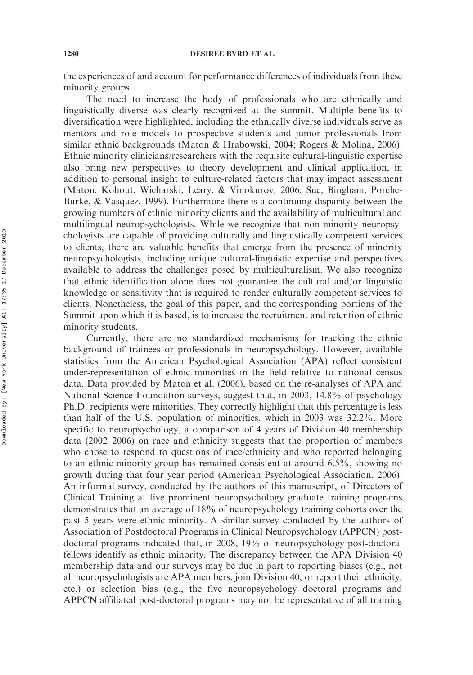the experiences of and account for performance differences of individuals from these minority groups.

The need to increase the body of professionals who are ethnically and linguistically diverse was clearly recognized at the summit. Multiple benefits to diversification were highlighted, including the ethnically diverse individuals serve as mentors and role models to prospective students and junior professionals from similar ethnic backgrounds (Maton & Hrabowski, 2004; Rogers & Molina, 2006). Ethnic minority clinicians/researchers with the requisite cultural-linguistic expertise also bring new perspectives to theory development and clinical application, in addition to personal insight to culture-related factors that may impact assessment (Maton, Kohout, Wicharski, Leary, & Vinokurov, 2006; Sue, Bingham, Porche-Burke, & Vasquez, 1999). Furthermore there is a continuing disparity between the growing numbers of ethnic minority clients and the availability of multicultural and multilingual neuropsychologists. While we recognize that non-minority neuropsychologists are capable of providing culturally and linguistically competent services to clients, there are valuable benefits that emerge from the presence of minority neuropsychologists, including unique cultural-linguistic expertise and perspectives available to address the challenges posed by multiculturalism. We also recognize that ethnic identification alone does not guarantee the cultural and/or linguistic knowledge or sensitivity that is required to render culturally competent services to clients. Nonetheless, the goal of this paper, and the corresponding portions of the Summit upon which it is based, is to increase the recruitment and retention of ethnic minority students.

Currently, there are no standardized mechanisms for tracking the ethnic background of trainees or professionals in neuropsychology. However, available statistics from the American Psychological Association (APA) reflect consistent under-representation of ethnic minorities in the field relative to national census data. Data provided by Maton et al. (2006), based on the re-analyses of APA and National Science Foundation surveys, suggest that, in 2003, 14.8% of psychology Ph.D. recipients were minorities. They correctly highlight that this percentage is less than half of the U.S. population of minorities, which in 2003 was 32.2%. More specific to neuropsychology, a comparison of 4 years of Division 40 membership data (2002–2006) on race and ethnicity suggests that the proportion of members who chose to respond to questions of race/ethnicity and who reported belonging to an ethnic minority group has remained consistent at around 6.5%, showing no growth during that four year period (American Psychological Association, 2006). An informal survey, conducted by the authors of this manuscript, of Directors of Clinical Training at five prominent neuropsychology graduate training programs demonstrates that an average of 18% of neuropsychology training cohorts over the past 5 years were ethnic minority. A similar survey conducted by the authors of Association of Postdoctoral Programs in Clinical Neuropsychology (APPCN) postdoctoral programs indicated that, in 2008, 19% of neuropsychology post-doctoral fellows identify as ethnic minority. The discrepancy between the APA Division 40 membership data and our surveys may be due in part to reporting biases (e.g., not all neuropsychologists are APA members, join Division 40, or report their ethnicity, etc.) or selection bias (e.g., the five neuropsychology doctoral programs and APPCN affiliated post-doctoral programs may not be representative of all training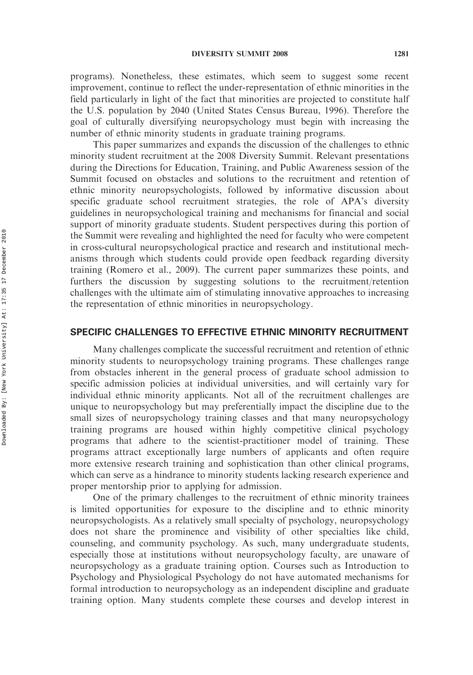programs). Nonetheless, these estimates, which seem to suggest some recent improvement, continue to reflect the under-representation of ethnic minorities in the field particularly in light of the fact that minorities are projected to constitute half the U.S. population by 2040 (United States Census Bureau, 1996). Therefore the goal of culturally diversifying neuropsychology must begin with increasing the number of ethnic minority students in graduate training programs.

This paper summarizes and expands the discussion of the challenges to ethnic minority student recruitment at the 2008 Diversity Summit. Relevant presentations during the Directions for Education, Training, and Public Awareness session of the Summit focused on obstacles and solutions to the recruitment and retention of ethnic minority neuropsychologists, followed by informative discussion about specific graduate school recruitment strategies, the role of APA's diversity guidelines in neuropsychological training and mechanisms for financial and social support of minority graduate students. Student perspectives during this portion of the Summit were revealing and highlighted the need for faculty who were competent in cross-cultural neuropsychological practice and research and institutional mechanisms through which students could provide open feedback regarding diversity training (Romero et al., 2009). The current paper summarizes these points, and furthers the discussion by suggesting solutions to the recruitment/retention challenges with the ultimate aim of stimulating innovative approaches to increasing the representation of ethnic minorities in neuropsychology.

## SPECIFIC CHALLENGES TO EFFECTIVE ETHNIC MINORITY RECRUITMENT

Many challenges complicate the successful recruitment and retention of ethnic minority students to neuropsychology training programs. These challenges range from obstacles inherent in the general process of graduate school admission to specific admission policies at individual universities, and will certainly vary for individual ethnic minority applicants. Not all of the recruitment challenges are unique to neuropsychology but may preferentially impact the discipline due to the small sizes of neuropsychology training classes and that many neuropsychology training programs are housed within highly competitive clinical psychology programs that adhere to the scientist-practitioner model of training. These programs attract exceptionally large numbers of applicants and often require more extensive research training and sophistication than other clinical programs, which can serve as a hindrance to minority students lacking research experience and proper mentorship prior to applying for admission.

One of the primary challenges to the recruitment of ethnic minority trainees is limited opportunities for exposure to the discipline and to ethnic minority neuropsychologists. As a relatively small specialty of psychology, neuropsychology does not share the prominence and visibility of other specialties like child, counseling, and community psychology. As such, many undergraduate students, especially those at institutions without neuropsychology faculty, are unaware of neuropsychology as a graduate training option. Courses such as Introduction to Psychology and Physiological Psychology do not have automated mechanisms for formal introduction to neuropsychology as an independent discipline and graduate training option. Many students complete these courses and develop interest in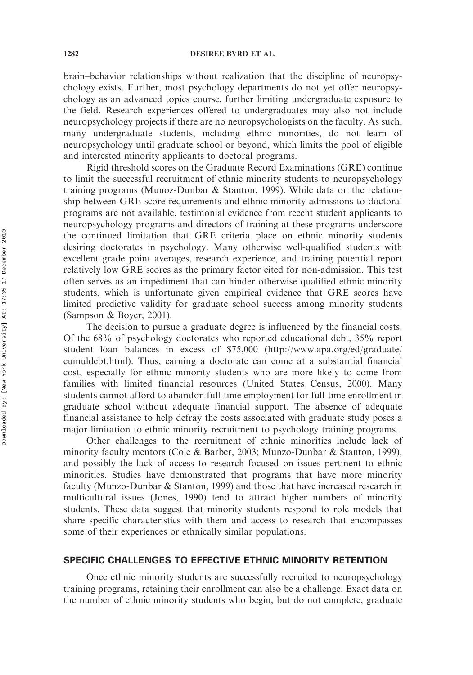brain–behavior relationships without realization that the discipline of neuropsychology exists. Further, most psychology departments do not yet offer neuropsychology as an advanced topics course, further limiting undergraduate exposure to the field. Research experiences offered to undergraduates may also not include neuropsychology projects if there are no neuropsychologists on the faculty. As such, many undergraduate students, including ethnic minorities, do not learn of neuropsychology until graduate school or beyond, which limits the pool of eligible and interested minority applicants to doctoral programs.

Rigid threshold scores on the Graduate Record Examinations (GRE) continue to limit the successful recruitment of ethnic minority students to neuropsychology training programs (Munoz-Dunbar & Stanton, 1999). While data on the relationship between GRE score requirements and ethnic minority admissions to doctoral programs are not available, testimonial evidence from recent student applicants to neuropsychology programs and directors of training at these programs underscore the continued limitation that GRE criteria place on ethnic minority students desiring doctorates in psychology. Many otherwise well-qualified students with excellent grade point averages, research experience, and training potential report relatively low GRE scores as the primary factor cited for non-admission. This test often serves as an impediment that can hinder otherwise qualified ethnic minority students, which is unfortunate given empirical evidence that GRE scores have limited predictive validity for graduate school success among minority students (Sampson & Boyer, 2001).

The decision to pursue a graduate degree is influenced by the financial costs. Of the 68% of psychology doctorates who reported educational debt, 35% report student loan balances in excess of \$75,000 (http://www.apa.org/ed/graduate/ cumuldebt.html). Thus, earning a doctorate can come at a substantial financial cost, especially for ethnic minority students who are more likely to come from families with limited financial resources (United States Census, 2000). Many students cannot afford to abandon full-time employment for full-time enrollment in graduate school without adequate financial support. The absence of adequate financial assistance to help defray the costs associated with graduate study poses a major limitation to ethnic minority recruitment to psychology training programs.

Other challenges to the recruitment of ethnic minorities include lack of minority faculty mentors (Cole & Barber, 2003; Munzo-Dunbar & Stanton, 1999), and possibly the lack of access to research focused on issues pertinent to ethnic minorities. Studies have demonstrated that programs that have more minority faculty (Munzo-Dunbar & Stanton, 1999) and those that have increased research in multicultural issues (Jones, 1990) tend to attract higher numbers of minority students. These data suggest that minority students respond to role models that share specific characteristics with them and access to research that encompasses some of their experiences or ethnically similar populations.

## SPECIFIC CHALLENGES TO EFFECTIVE ETHNIC MINORITY RETENTION

Once ethnic minority students are successfully recruited to neuropsychology training programs, retaining their enrollment can also be a challenge. Exact data on the number of ethnic minority students who begin, but do not complete, graduate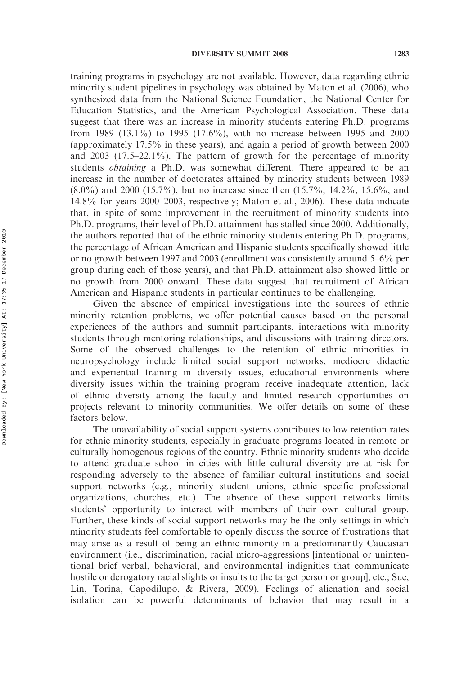training programs in psychology are not available. However, data regarding ethnic minority student pipelines in psychology was obtained by Maton et al. (2006), who synthesized data from the National Science Foundation, the National Center for Education Statistics, and the American Psychological Association. These data suggest that there was an increase in minority students entering Ph.D. programs from 1989 (13.1%) to 1995 (17.6%), with no increase between 1995 and 2000 (approximately 17.5% in these years), and again a period of growth between 2000 and 2003 (17.5–22.1%). The pattern of growth for the percentage of minority students obtaining a Ph.D. was somewhat different. There appeared to be an increase in the number of doctorates attained by minority students between 1989 (8.0%) and 2000 (15.7%), but no increase since then (15.7%, 14.2%, 15.6%, and 14.8% for years 2000–2003, respectively; Maton et al., 2006). These data indicate that, in spite of some improvement in the recruitment of minority students into Ph.D. programs, their level of Ph.D. attainment has stalled since 2000. Additionally, the authors reported that of the ethnic minority students entering Ph.D. programs, the percentage of African American and Hispanic students specifically showed little or no growth between 1997 and 2003 (enrollment was consistently around 5–6% per group during each of those years), and that Ph.D. attainment also showed little or no growth from 2000 onward. These data suggest that recruitment of African American and Hispanic students in particular continues to be challenging.

Given the absence of empirical investigations into the sources of ethnic minority retention problems, we offer potential causes based on the personal experiences of the authors and summit participants, interactions with minority students through mentoring relationships, and discussions with training directors. Some of the observed challenges to the retention of ethnic minorities in neuropsychology include limited social support networks, mediocre didactic and experiential training in diversity issues, educational environments where diversity issues within the training program receive inadequate attention, lack of ethnic diversity among the faculty and limited research opportunities on projects relevant to minority communities. We offer details on some of these factors below.

The unavailability of social support systems contributes to low retention rates for ethnic minority students, especially in graduate programs located in remote or culturally homogenous regions of the country. Ethnic minority students who decide to attend graduate school in cities with little cultural diversity are at risk for responding adversely to the absence of familiar cultural institutions and social support networks (e.g., minority student unions, ethnic specific professional organizations, churches, etc.). The absence of these support networks limits students' opportunity to interact with members of their own cultural group. Further, these kinds of social support networks may be the only settings in which minority students feel comfortable to openly discuss the source of frustrations that may arise as a result of being an ethnic minority in a predominantly Caucasian environment (i.e., discrimination, racial micro-aggressions [intentional or unintentional brief verbal, behavioral, and environmental indignities that communicate hostile or derogatory racial slights or insults to the target person or group], etc.; Sue, Lin, Torina, Capodilupo, & Rivera, 2009). Feelings of alienation and social isolation can be powerful determinants of behavior that may result in a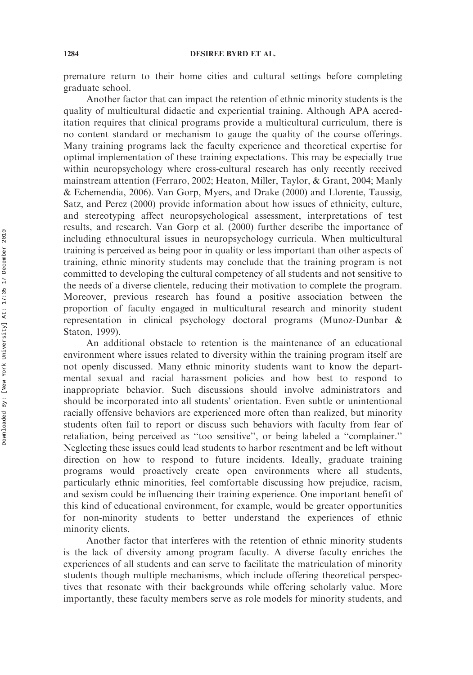premature return to their home cities and cultural settings before completing graduate school.

Another factor that can impact the retention of ethnic minority students is the quality of multicultural didactic and experiential training. Although APA accreditation requires that clinical programs provide a multicultural curriculum, there is no content standard or mechanism to gauge the quality of the course offerings. Many training programs lack the faculty experience and theoretical expertise for optimal implementation of these training expectations. This may be especially true within neuropsychology where cross-cultural research has only recently received mainstream attention (Ferraro, 2002; Heaton, Miller, Taylor, & Grant, 2004; Manly & Echemendia, 2006). Van Gorp, Myers, and Drake (2000) and Llorente, Taussig, Satz, and Perez (2000) provide information about how issues of ethnicity, culture, and stereotyping affect neuropsychological assessment, interpretations of test results, and research. Van Gorp et al. (2000) further describe the importance of including ethnocultural issues in neuropsychology curricula. When multicultural training is perceived as being poor in quality or less important than other aspects of training, ethnic minority students may conclude that the training program is not committed to developing the cultural competency of all students and not sensitive to the needs of a diverse clientele, reducing their motivation to complete the program. Moreover, previous research has found a positive association between the proportion of faculty engaged in multicultural research and minority student representation in clinical psychology doctoral programs (Munoz-Dunbar & Staton, 1999).

An additional obstacle to retention is the maintenance of an educational environment where issues related to diversity within the training program itself are not openly discussed. Many ethnic minority students want to know the departmental sexual and racial harassment policies and how best to respond to inappropriate behavior. Such discussions should involve administrators and should be incorporated into all students' orientation. Even subtle or unintentional racially offensive behaviors are experienced more often than realized, but minority students often fail to report or discuss such behaviors with faculty from fear of retaliation, being perceived as ''too sensitive'', or being labeled a ''complainer.'' Neglecting these issues could lead students to harbor resentment and be left without direction on how to respond to future incidents. Ideally, graduate training programs would proactively create open environments where all students, particularly ethnic minorities, feel comfortable discussing how prejudice, racism, and sexism could be influencing their training experience. One important benefit of this kind of educational environment, for example, would be greater opportunities for non-minority students to better understand the experiences of ethnic minority clients.

Another factor that interferes with the retention of ethnic minority students is the lack of diversity among program faculty. A diverse faculty enriches the experiences of all students and can serve to facilitate the matriculation of minority students though multiple mechanisms, which include offering theoretical perspectives that resonate with their backgrounds while offering scholarly value. More importantly, these faculty members serve as role models for minority students, and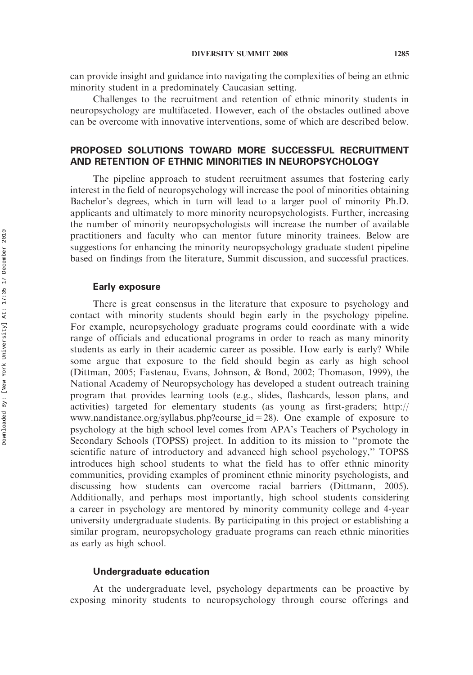can provide insight and guidance into navigating the complexities of being an ethnic minority student in a predominately Caucasian setting.

Challenges to the recruitment and retention of ethnic minority students in neuropsychology are multifaceted. However, each of the obstacles outlined above can be overcome with innovative interventions, some of which are described below.

## PROPOSED SOLUTIONS TOWARD MORE SUCCESSFUL RECRUITMENT AND RETENTION OF ETHNIC MINORITIES IN NEUROPSYCHOLOGY

The pipeline approach to student recruitment assumes that fostering early interest in the field of neuropsychology will increase the pool of minorities obtaining Bachelor's degrees, which in turn will lead to a larger pool of minority Ph.D. applicants and ultimately to more minority neuropsychologists. Further, increasing the number of minority neuropsychologists will increase the number of available practitioners and faculty who can mentor future minority trainees. Below are suggestions for enhancing the minority neuropsychology graduate student pipeline based on findings from the literature, Summit discussion, and successful practices.

#### Early exposure

There is great consensus in the literature that exposure to psychology and contact with minority students should begin early in the psychology pipeline. For example, neuropsychology graduate programs could coordinate with a wide range of officials and educational programs in order to reach as many minority students as early in their academic career as possible. How early is early? While some argue that exposure to the field should begin as early as high school (Dittman, 2005; Fastenau, Evans, Johnson, & Bond, 2002; Thomason, 1999), the National Academy of Neuropsychology has developed a student outreach training program that provides learning tools (e.g., slides, flashcards, lesson plans, and activities) targeted for elementary students (as young as first-graders; http:// www.nandistance.org/syllabus.php?course\_id=28). One example of exposure to psychology at the high school level comes from APA's Teachers of Psychology in Secondary Schools (TOPSS) project. In addition to its mission to ''promote the scientific nature of introductory and advanced high school psychology,'' TOPSS introduces high school students to what the field has to offer ethnic minority communities, providing examples of prominent ethnic minority psychologists, and discussing how students can overcome racial barriers (Dittmann, 2005). Additionally, and perhaps most importantly, high school students considering a career in psychology are mentored by minority community college and 4-year university undergraduate students. By participating in this project or establishing a similar program, neuropsychology graduate programs can reach ethnic minorities as early as high school.

#### Undergraduate education

At the undergraduate level, psychology departments can be proactive by exposing minority students to neuropsychology through course offerings and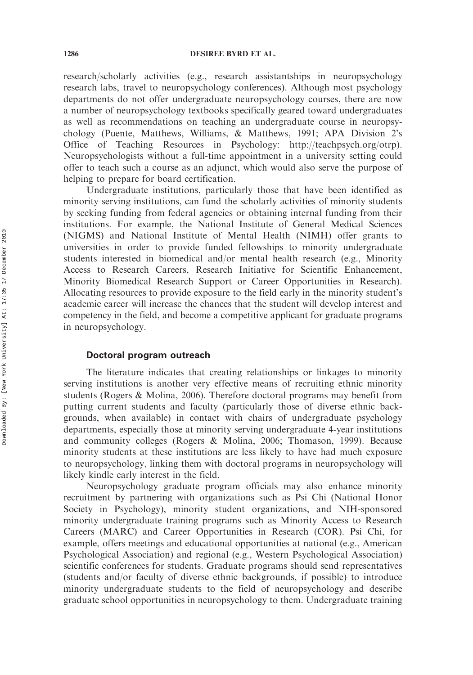research/scholarly activities (e.g., research assistantships in neuropsychology research labs, travel to neuropsychology conferences). Although most psychology departments do not offer undergraduate neuropsychology courses, there are now a number of neuropsychology textbooks specifically geared toward undergraduates as well as recommendations on teaching an undergraduate course in neuropsychology (Puente, Matthews, Williams, & Matthews, 1991; APA Division 2's Office of Teaching Resources in Psychology: http://teachpsych.org/otrp). Neuropsychologists without a full-time appointment in a university setting could offer to teach such a course as an adjunct, which would also serve the purpose of helping to prepare for board certification.

Undergraduate institutions, particularly those that have been identified as minority serving institutions, can fund the scholarly activities of minority students by seeking funding from federal agencies or obtaining internal funding from their institutions. For example, the National Institute of General Medical Sciences (NIGMS) and National Institute of Mental Health (NIMH) offer grants to universities in order to provide funded fellowships to minority undergraduate students interested in biomedical and/or mental health research (e.g., Minority Access to Research Careers, Research Initiative for Scientific Enhancement, Minority Biomedical Research Support or Career Opportunities in Research). Allocating resources to provide exposure to the field early in the minority student's academic career will increase the chances that the student will develop interest and competency in the field, and become a competitive applicant for graduate programs in neuropsychology.

### Doctoral program outreach

The literature indicates that creating relationships or linkages to minority serving institutions is another very effective means of recruiting ethnic minority students (Rogers & Molina, 2006). Therefore doctoral programs may benefit from putting current students and faculty (particularly those of diverse ethnic backgrounds, when available) in contact with chairs of undergraduate psychology departments, especially those at minority serving undergraduate 4-year institutions and community colleges (Rogers & Molina, 2006; Thomason, 1999). Because minority students at these institutions are less likely to have had much exposure to neuropsychology, linking them with doctoral programs in neuropsychology will likely kindle early interest in the field.

Neuropsychology graduate program officials may also enhance minority recruitment by partnering with organizations such as Psi Chi (National Honor Society in Psychology), minority student organizations, and NIH-sponsored minority undergraduate training programs such as Minority Access to Research Careers (MARC) and Career Opportunities in Research (COR). Psi Chi, for example, offers meetings and educational opportunities at national (e.g., American Psychological Association) and regional (e.g., Western Psychological Association) scientific conferences for students. Graduate programs should send representatives (students and/or faculty of diverse ethnic backgrounds, if possible) to introduce minority undergraduate students to the field of neuropsychology and describe graduate school opportunities in neuropsychology to them. Undergraduate training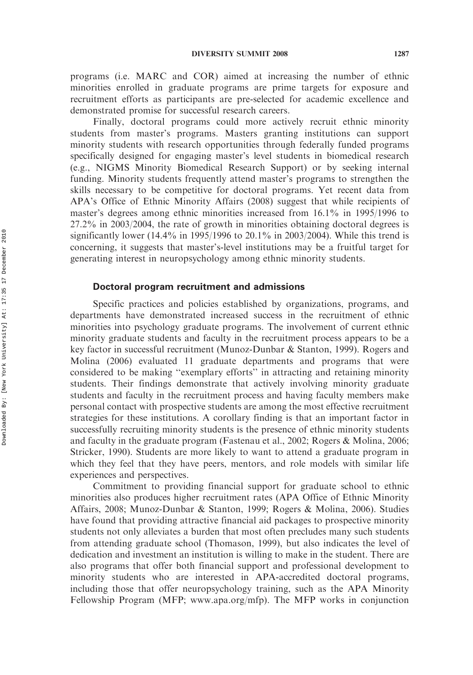programs (i.e. MARC and COR) aimed at increasing the number of ethnic minorities enrolled in graduate programs are prime targets for exposure and recruitment efforts as participants are pre-selected for academic excellence and demonstrated promise for successful research careers.

Finally, doctoral programs could more actively recruit ethnic minority students from master's programs. Masters granting institutions can support minority students with research opportunities through federally funded programs specifically designed for engaging master's level students in biomedical research (e.g., NIGMS Minority Biomedical Research Support) or by seeking internal funding. Minority students frequently attend master's programs to strengthen the skills necessary to be competitive for doctoral programs. Yet recent data from APA's Office of Ethnic Minority Affairs (2008) suggest that while recipients of master's degrees among ethnic minorities increased from 16.1% in 1995/1996 to 27.2% in 2003/2004, the rate of growth in minorities obtaining doctoral degrees is significantly lower (14.4% in 1995/1996 to 20.1% in 2003/2004). While this trend is concerning, it suggests that master's-level institutions may be a fruitful target for generating interest in neuropsychology among ethnic minority students.

## Doctoral program recruitment and admissions

Specific practices and policies established by organizations, programs, and departments have demonstrated increased success in the recruitment of ethnic minorities into psychology graduate programs. The involvement of current ethnic minority graduate students and faculty in the recruitment process appears to be a key factor in successful recruitment (Munoz-Dunbar & Stanton, 1999). Rogers and Molina (2006) evaluated 11 graduate departments and programs that were considered to be making ''exemplary efforts'' in attracting and retaining minority students. Their findings demonstrate that actively involving minority graduate students and faculty in the recruitment process and having faculty members make personal contact with prospective students are among the most effective recruitment strategies for these institutions. A corollary finding is that an important factor in successfully recruiting minority students is the presence of ethnic minority students and faculty in the graduate program (Fastenau et al., 2002; Rogers & Molina, 2006; Stricker, 1990). Students are more likely to want to attend a graduate program in which they feel that they have peers, mentors, and role models with similar life experiences and perspectives.

Commitment to providing financial support for graduate school to ethnic minorities also produces higher recruitment rates (APA Office of Ethnic Minority Affairs, 2008; Munoz-Dunbar & Stanton, 1999; Rogers & Molina, 2006). Studies have found that providing attractive financial aid packages to prospective minority students not only alleviates a burden that most often precludes many such students from attending graduate school (Thomason, 1999), but also indicates the level of dedication and investment an institution is willing to make in the student. There are also programs that offer both financial support and professional development to minority students who are interested in APA-accredited doctoral programs, including those that offer neuropsychology training, such as the APA Minority Fellowship Program (MFP; www.apa.org/mfp). The MFP works in conjunction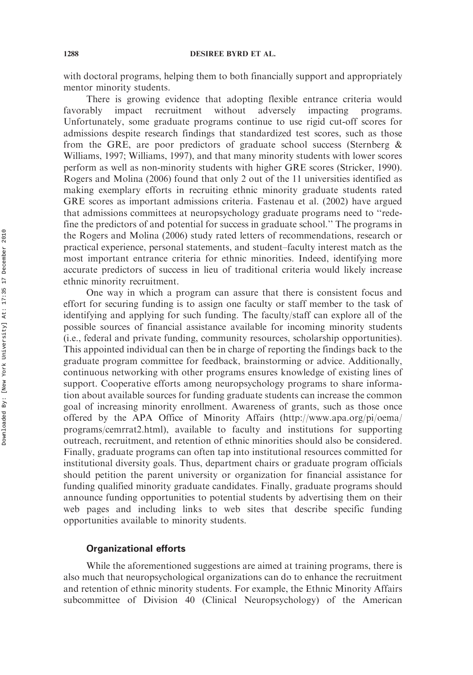with doctoral programs, helping them to both financially support and appropriately mentor minority students.

There is growing evidence that adopting flexible entrance criteria would favorably impact recruitment without adversely impacting programs. Unfortunately, some graduate programs continue to use rigid cut-off scores for admissions despite research findings that standardized test scores, such as those from the GRE, are poor predictors of graduate school success (Sternberg & Williams, 1997; Williams, 1997), and that many minority students with lower scores perform as well as non-minority students with higher GRE scores (Stricker, 1990). Rogers and Molina (2006) found that only 2 out of the 11 universities identified as making exemplary efforts in recruiting ethnic minority graduate students rated GRE scores as important admissions criteria. Fastenau et al. (2002) have argued that admissions committees at neuropsychology graduate programs need to ''redefine the predictors of and potential for success in graduate school.'' The programs in the Rogers and Molina (2006) study rated letters of recommendations, research or practical experience, personal statements, and student–faculty interest match as the most important entrance criteria for ethnic minorities. Indeed, identifying more accurate predictors of success in lieu of traditional criteria would likely increase ethnic minority recruitment.

One way in which a program can assure that there is consistent focus and effort for securing funding is to assign one faculty or staff member to the task of identifying and applying for such funding. The faculty/staff can explore all of the possible sources of financial assistance available for incoming minority students (i.e., federal and private funding, community resources, scholarship opportunities). This appointed individual can then be in charge of reporting the findings back to the graduate program committee for feedback, brainstorming or advice. Additionally, continuous networking with other programs ensures knowledge of existing lines of support. Cooperative efforts among neuropsychology programs to share information about available sources for funding graduate students can increase the common goal of increasing minority enrollment. Awareness of grants, such as those once offered by the APA Office of Minority Affairs (http://www.apa.org/pi/oema/ programs/cemrrat2.html), available to faculty and institutions for supporting outreach, recruitment, and retention of ethnic minorities should also be considered. Finally, graduate programs can often tap into institutional resources committed for institutional diversity goals. Thus, department chairs or graduate program officials should petition the parent university or organization for financial assistance for funding qualified minority graduate candidates. Finally, graduate programs should announce funding opportunities to potential students by advertising them on their web pages and including links to web sites that describe specific funding opportunities available to minority students.

## Organizational efforts

While the aforementioned suggestions are aimed at training programs, there is also much that neuropsychological organizations can do to enhance the recruitment and retention of ethnic minority students. For example, the Ethnic Minority Affairs subcommittee of Division 40 (Clinical Neuropsychology) of the American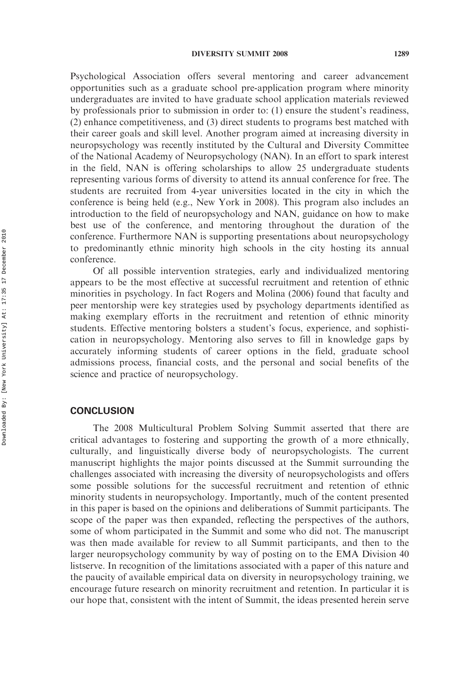#### DIVERSITY SUMMIT 2008 1289

Psychological Association offers several mentoring and career advancement opportunities such as a graduate school pre-application program where minority undergraduates are invited to have graduate school application materials reviewed by professionals prior to submission in order to: (1) ensure the student's readiness, (2) enhance competitiveness, and (3) direct students to programs best matched with their career goals and skill level. Another program aimed at increasing diversity in neuropsychology was recently instituted by the Cultural and Diversity Committee of the National Academy of Neuropsychology (NAN). In an effort to spark interest in the field, NAN is offering scholarships to allow 25 undergraduate students representing various forms of diversity to attend its annual conference for free. The students are recruited from 4-year universities located in the city in which the conference is being held (e.g., New York in 2008). This program also includes an introduction to the field of neuropsychology and NAN, guidance on how to make best use of the conference, and mentoring throughout the duration of the conference. Furthermore NAN is supporting presentations about neuropsychology to predominantly ethnic minority high schools in the city hosting its annual conference.

Of all possible intervention strategies, early and individualized mentoring appears to be the most effective at successful recruitment and retention of ethnic minorities in psychology. In fact Rogers and Molina (2006) found that faculty and peer mentorship were key strategies used by psychology departments identified as making exemplary efforts in the recruitment and retention of ethnic minority students. Effective mentoring bolsters a student's focus, experience, and sophistication in neuropsychology. Mentoring also serves to fill in knowledge gaps by accurately informing students of career options in the field, graduate school admissions process, financial costs, and the personal and social benefits of the science and practice of neuropsychology.

## **CONCLUSION**

The 2008 Multicultural Problem Solving Summit asserted that there are critical advantages to fostering and supporting the growth of a more ethnically, culturally, and linguistically diverse body of neuropsychologists. The current manuscript highlights the major points discussed at the Summit surrounding the challenges associated with increasing the diversity of neuropsychologists and offers some possible solutions for the successful recruitment and retention of ethnic minority students in neuropsychology. Importantly, much of the content presented in this paper is based on the opinions and deliberations of Summit participants. The scope of the paper was then expanded, reflecting the perspectives of the authors, some of whom participated in the Summit and some who did not. The manuscript was then made available for review to all Summit participants, and then to the larger neuropsychology community by way of posting on to the EMA Division 40 listserve. In recognition of the limitations associated with a paper of this nature and the paucity of available empirical data on diversity in neuropsychology training, we encourage future research on minority recruitment and retention. In particular it is our hope that, consistent with the intent of Summit, the ideas presented herein serve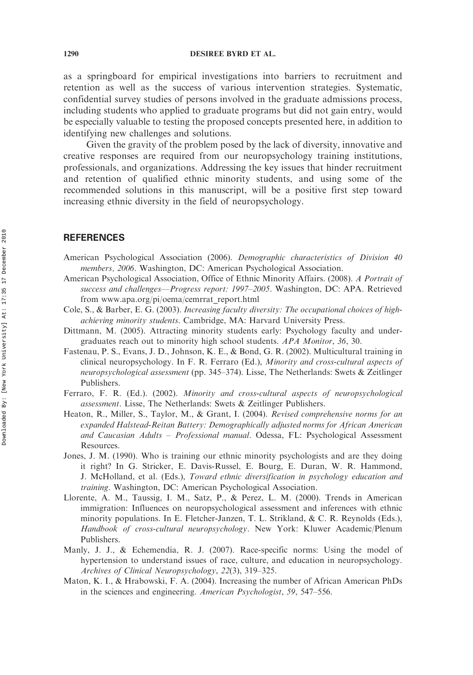as a springboard for empirical investigations into barriers to recruitment and retention as well as the success of various intervention strategies. Systematic, confidential survey studies of persons involved in the graduate admissions process, including students who applied to graduate programs but did not gain entry, would be especially valuable to testing the proposed concepts presented here, in addition to identifying new challenges and solutions.

Given the gravity of the problem posed by the lack of diversity, innovative and creative responses are required from our neuropsychology training institutions, professionals, and organizations. Addressing the key issues that hinder recruitment and retention of qualified ethnic minority students, and using some of the recommended solutions in this manuscript, will be a positive first step toward increasing ethnic diversity in the field of neuropsychology.

## **REFERENCES**

- American Psychological Association (2006). Demographic characteristics of Division 40 members, 2006. Washington, DC: American Psychological Association.
- American Psychological Association, Office of Ethnic Minority Affairs. (2008). A Portrait of success and challenges—Progress report: 1997–2005. Washington, DC: APA. Retrieved from www.apa.org/pi/oema/cemrrat\_report.html
- Cole, S., & Barber, E. G. (2003). Increasing faculty diversity: The occupational choices of highachieving minority students. Cambridge, MA: Harvard University Press.
- Dittmann, M. (2005). Attracting minority students early: Psychology faculty and undergraduates reach out to minority high school students. APA Monitor, 36, 30.
- Fastenau, P. S., Evans, J. D., Johnson, K. E., & Bond, G. R. (2002). Multicultural training in clinical neuropsychology. In F. R. Ferraro (Ed.), Minority and cross-cultural aspects of neuropsychological assessment (pp. 345–374). Lisse, The Netherlands: Swets & Zeitlinger Publishers.
- Ferraro, F. R. (Ed.). (2002). Minority and cross-cultural aspects of neuropsychological assessment. Lisse, The Netherlands: Swets & Zeitlinger Publishers.
- Heaton, R., Miller, S., Taylor, M., & Grant, I. (2004). Revised comprehensive norms for an expanded Halstead-Reitan Battery: Demographically adjusted norms for African American and Caucasian Adults – Professional manual. Odessa, FL: Psychological Assessment Resources.
- Jones, J. M. (1990). Who is training our ethnic minority psychologists and are they doing it right? In G. Stricker, E. Davis-Russel, E. Bourg, E. Duran, W. R. Hammond, J. McHolland, et al. (Eds.), Toward ethnic diversification in psychology education and training. Washington, DC: American Psychological Association.
- Llorente, A. M., Taussig, I. M., Satz, P., & Perez, L. M. (2000). Trends in American immigration: Influences on neuropsychological assessment and inferences with ethnic minority populations. In E. Fletcher-Janzen, T. L. Strikland, & C. R. Reynolds (Eds.), Handbook of cross-cultural neuropsychology. New York: Kluwer Academic/Plenum Publishers.
- Manly, J. J., & Echemendia, R. J. (2007). Race-specific norms: Using the model of hypertension to understand issues of race, culture, and education in neuropsychology. Archives of Clinical Neuropsychology, 22(3), 319–325.
- Maton, K. I., & Hrabowski, F. A. (2004). Increasing the number of African American PhDs in the sciences and engineering. American Psychologist, 59, 547–556.